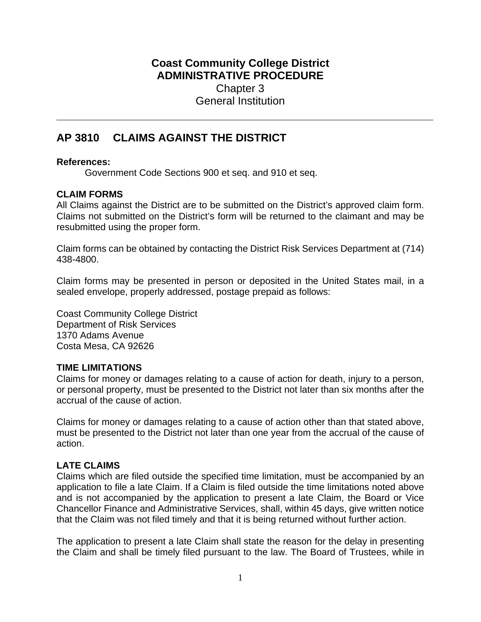# **Coast Community College District ADMINISTRATIVE PROCEDURE** Chapter 3 General Institution

# **AP 3810 CLAIMS AGAINST THE DISTRICT**

## **References:**

Government Code Sections 900 et seq. and 910 et seq.

# **CLAIM FORMS**

All Claims against the District are to be submitted on the District's approved claim form. Claims not submitted on the District's form will be returned to the claimant and may be resubmitted using the proper form.

Claim forms can be obtained by contacting the District Risk Services Department at (714) 438-4800.

Claim forms may be presented in person or deposited in the United States mail, in a sealed envelope, properly addressed, postage prepaid as follows:

Coast Community College District Department of Risk Services 1370 Adams Avenue Costa Mesa, CA 92626

#### **TIME LIMITATIONS**

Claims for money or damages relating to a cause of action for death, injury to a person, or personal property, must be presented to the District not later than six months after the accrual of the cause of action.

Claims for money or damages relating to a cause of action other than that stated above, must be presented to the District not later than one year from the accrual of the cause of action.

# **LATE CLAIMS**

Claims which are filed outside the specified time limitation, must be accompanied by an application to file a late Claim. If a Claim is filed outside the time limitations noted above and is not accompanied by the application to present a late Claim, the Board or Vice Chancellor Finance and Administrative Services, shall, within 45 days, give written notice that the Claim was not filed timely and that it is being returned without further action.

The application to present a late Claim shall state the reason for the delay in presenting the Claim and shall be timely filed pursuant to the law. The Board of Trustees, while in